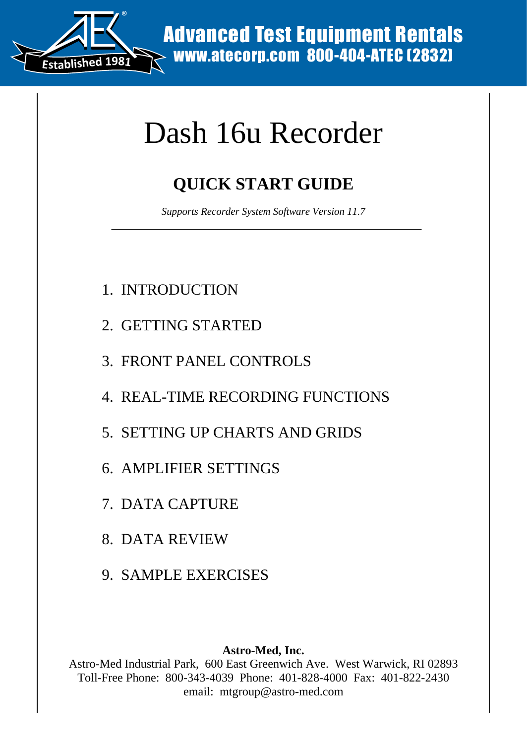

# Dash 16u Recorder

## **QUICK START GUIDE**

*Supports Recorder System Software Version 11.7* 

- 1. INTRODUCTION
- 2. GETTING STARTED
- 3. FRONT PANEL CONTROLS
- 4. REAL-TIME RECORDING FUNCTIONS
- 5. SETTING UP CHARTS AND GRIDS
- 6. AMPLIFIER SETTINGS
- 7. DATA CAPTURE
- 8. DATA REVIEW
- 9. SAMPLE EXERCISES

#### **Astro-Med, Inc.**

Astro-Med Industrial Park, 600 East Greenwich Ave. West Warwick, RI 02893 Toll-Free Phone: 800-343-4039 Phone: 401-828-4000 Fax: 401-822-2430 EMITRIE MANAGE TEST EQUIPMENT RENTALS<br>
MANAGE COTT<br>
2000 MONTAIN: MANAGE COTT<br>
2000 MONTAIN: MANAGE CONTROLS<br>
SUPPOPER RECORDING FUNCTIONS<br>
NG STARTED<br>
TPANEL CONTROLS<br>
TIME RECORDING FUNCTIONS<br>
NG UP CHARTS AND GRIDS<br>
IFI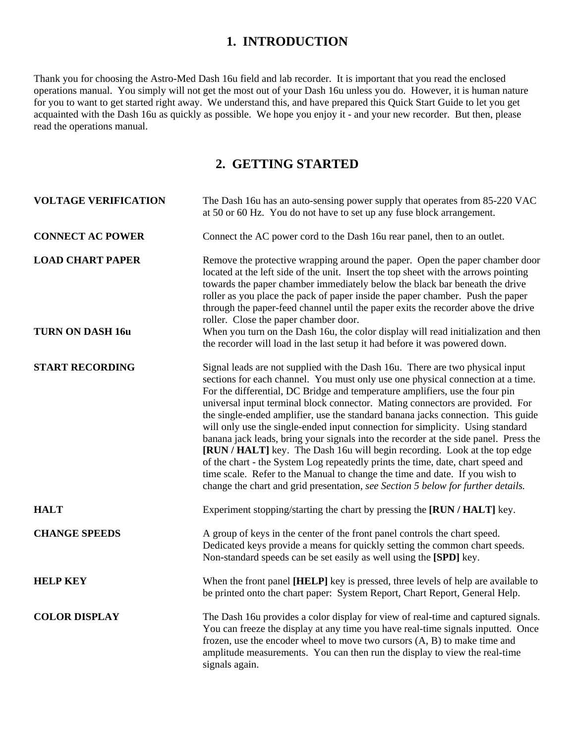#### **1. INTRODUCTION**

Thank you for choosing the Astro-Med Dash 16u field and lab recorder. It is important that you read the enclosed operations manual. You simply will not get the most out of your Dash 16u unless you do. However, it is human nature for you to want to get started right away. We understand this, and have prepared this Quick Start Guide to let you get acquainted with the Dash 16u as quickly as possible. We hope you enjoy it - and your new recorder. But then, please read the operations manual.

#### **2. GETTING STARTED**

| <b>VOLTAGE VERIFICATION</b>                        | The Dash 16u has an auto-sensing power supply that operates from 85-220 VAC<br>at 50 or 60 Hz. You do not have to set up any fuse block arrangement.                                                                                                                                                                                                                                                                                                                                                                                                                                                                                                                                                                                                                                                                                                                                                                               |
|----------------------------------------------------|------------------------------------------------------------------------------------------------------------------------------------------------------------------------------------------------------------------------------------------------------------------------------------------------------------------------------------------------------------------------------------------------------------------------------------------------------------------------------------------------------------------------------------------------------------------------------------------------------------------------------------------------------------------------------------------------------------------------------------------------------------------------------------------------------------------------------------------------------------------------------------------------------------------------------------|
| <b>CONNECT AC POWER</b>                            | Connect the AC power cord to the Dash 16u rear panel, then to an outlet.                                                                                                                                                                                                                                                                                                                                                                                                                                                                                                                                                                                                                                                                                                                                                                                                                                                           |
| <b>LOAD CHART PAPER</b><br><b>TURN ON DASH 16u</b> | Remove the protective wrapping around the paper. Open the paper chamber door<br>located at the left side of the unit. Insert the top sheet with the arrows pointing<br>towards the paper chamber immediately below the black bar beneath the drive<br>roller as you place the pack of paper inside the paper chamber. Push the paper<br>through the paper-feed channel until the paper exits the recorder above the drive<br>roller. Close the paper chamber door.<br>When you turn on the Dash 16u, the color display will read initialization and then<br>the recorder will load in the last setup it had before it was powered down.                                                                                                                                                                                                                                                                                            |
|                                                    |                                                                                                                                                                                                                                                                                                                                                                                                                                                                                                                                                                                                                                                                                                                                                                                                                                                                                                                                    |
| <b>START RECORDING</b>                             | Signal leads are not supplied with the Dash 16u. There are two physical input<br>sections for each channel. You must only use one physical connection at a time.<br>For the differential, DC Bridge and temperature amplifiers, use the four pin<br>universal input terminal block connector. Mating connectors are provided. For<br>the single-ended amplifier, use the standard banana jacks connection. This guide<br>will only use the single-ended input connection for simplicity. Using standard<br>banana jack leads, bring your signals into the recorder at the side panel. Press the<br>[RUN / HALT] key. The Dash 16u will begin recording. Look at the top edge<br>of the chart - the System Log repeatedly prints the time, date, chart speed and<br>time scale. Refer to the Manual to change the time and date. If you wish to<br>change the chart and grid presentation, see Section 5 below for further details. |
| <b>HALT</b>                                        | Experiment stopping/starting the chart by pressing the [RUN / HALT] key.                                                                                                                                                                                                                                                                                                                                                                                                                                                                                                                                                                                                                                                                                                                                                                                                                                                           |
| <b>CHANGE SPEEDS</b>                               | A group of keys in the center of the front panel controls the chart speed.<br>Dedicated keys provide a means for quickly setting the common chart speeds.<br>Non-standard speeds can be set easily as well using the [SPD] key.                                                                                                                                                                                                                                                                                                                                                                                                                                                                                                                                                                                                                                                                                                    |
| <b>HELP KEY</b>                                    | When the front panel [HELP] key is pressed, three levels of help are available to<br>be printed onto the chart paper: System Report, Chart Report, General Help.                                                                                                                                                                                                                                                                                                                                                                                                                                                                                                                                                                                                                                                                                                                                                                   |
| <b>COLOR DISPLAY</b>                               | The Dash 16u provides a color display for view of real-time and captured signals.<br>You can freeze the display at any time you have real-time signals inputted. Once<br>frozen, use the encoder wheel to move two cursors $(A, B)$ to make time and<br>amplitude measurements. You can then run the display to view the real-time<br>signals again.                                                                                                                                                                                                                                                                                                                                                                                                                                                                                                                                                                               |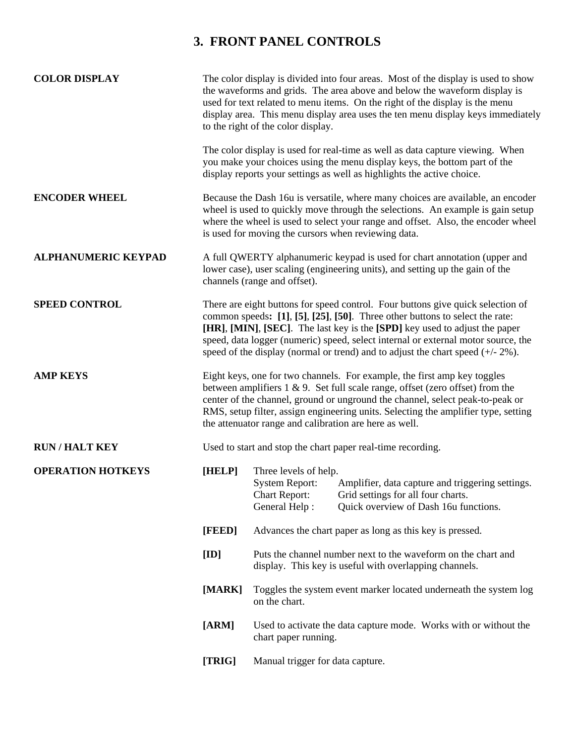### **3. FRONT PANEL CONTROLS**

| <b>COLOR DISPLAY</b>       |                 | The color display is divided into four areas. Most of the display is used to show<br>the waveforms and grids. The area above and below the waveform display is<br>used for text related to menu items. On the right of the display is the menu<br>display area. This menu display area uses the ten menu display keys immediately<br>to the right of the color display.                                                  |
|----------------------------|-----------------|--------------------------------------------------------------------------------------------------------------------------------------------------------------------------------------------------------------------------------------------------------------------------------------------------------------------------------------------------------------------------------------------------------------------------|
|                            |                 | The color display is used for real-time as well as data capture viewing. When<br>you make your choices using the menu display keys, the bottom part of the<br>display reports your settings as well as highlights the active choice.                                                                                                                                                                                     |
| <b>ENCODER WHEEL</b>       |                 | Because the Dash 16u is versatile, where many choices are available, an encoder<br>wheel is used to quickly move through the selections. An example is gain setup<br>where the wheel is used to select your range and offset. Also, the encoder wheel<br>is used for moving the cursors when reviewing data.                                                                                                             |
| <b>ALPHANUMERIC KEYPAD</b> |                 | A full QWERTY alphanumeric keypad is used for chart annotation (upper and<br>lower case), user scaling (engineering units), and setting up the gain of the<br>channels (range and offset).                                                                                                                                                                                                                               |
| <b>SPEED CONTROL</b>       |                 | There are eight buttons for speed control. Four buttons give quick selection of<br>common speeds: [1], [5], [25], [50]. Three other buttons to select the rate:<br>[HR], [MIN], [SEC]. The last key is the [SPD] key used to adjust the paper<br>speed, data logger (numeric) speed, select internal or external motor source, the<br>speed of the display (normal or trend) and to adjust the chart speed $(+/- 2\%)$ . |
| <b>AMP KEYS</b>            |                 | Eight keys, one for two channels. For example, the first amp key toggles<br>between amplifiers $1 \& 9$ . Set full scale range, offset (zero offset) from the<br>center of the channel, ground or unground the channel, select peak-to-peak or<br>RMS, setup filter, assign engineering units. Selecting the amplifier type, setting<br>the attenuator range and calibration are here as well.                           |
| <b>RUN/HALT KEY</b>        |                 | Used to start and stop the chart paper real-time recording.                                                                                                                                                                                                                                                                                                                                                              |
| <b>OPERATION HOTKEYS</b>   | [HELP]          | Three levels of help.<br><b>System Report:</b><br>Amplifier, data capture and triggering settings.<br><b>Chart Report:</b><br>Grid settings for all four charts.<br>General Help:<br>Quick overview of Dash 16u functions.                                                                                                                                                                                               |
|                            | [FEED]          | Advances the chart paper as long as this key is pressed.                                                                                                                                                                                                                                                                                                                                                                 |
|                            | $[\mathbf{ID}]$ | Puts the channel number next to the waveform on the chart and<br>display. This key is useful with overlapping channels.                                                                                                                                                                                                                                                                                                  |
|                            | [MARK]          | Toggles the system event marker located underneath the system log<br>on the chart.                                                                                                                                                                                                                                                                                                                                       |
|                            | [ARM]           | Used to activate the data capture mode. Works with or without the<br>chart paper running.                                                                                                                                                                                                                                                                                                                                |
|                            | [TRIG]          | Manual trigger for data capture.                                                                                                                                                                                                                                                                                                                                                                                         |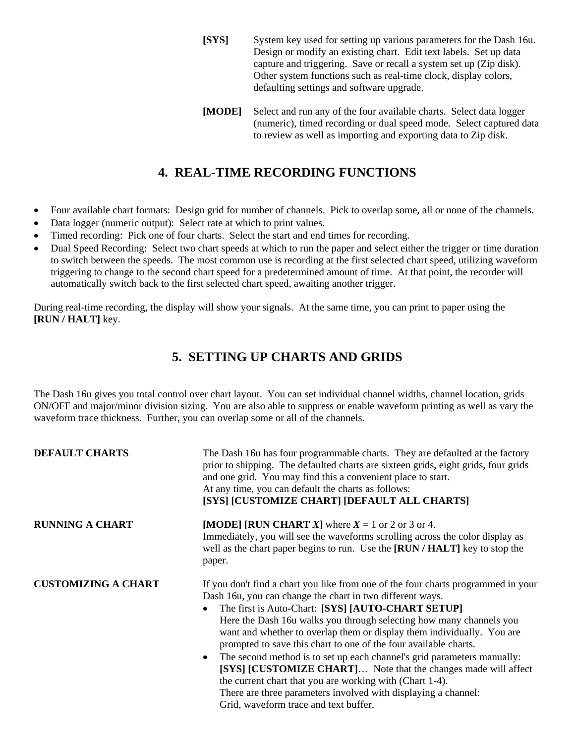- **[SYS]** System key used for setting up various parameters for the Dash 16u. Design or modify an existing chart. Edit text labels. Set up data capture and triggering. Save or recall a system set up (Zip disk). Other system functions such as real-time clock, display colors, defaulting settings and software upgrade.
- **[MODE]** Select and run any of the four available charts. Select data logger (numeric), timed recording or dual speed mode. Select captured data to review as well as importing and exporting data to Zip disk.

#### **4. REAL-TIME RECORDING FUNCTIONS**

- Four available chart formats: Design grid for number of channels. Pick to overlap some, all or none of the channels.
- Data logger (numeric output): Select rate at which to print values.
- Timed recording: Pick one of four charts. Select the start and end times for recording.
- Dual Speed Recording: Select two chart speeds at which to run the paper and select either the trigger or time duration to switch between the speeds. The most common use is recording at the first selected chart speed, utilizing waveform triggering to change to the second chart speed for a predetermined amount of time. At that point, the recorder will automatically switch back to the first selected chart speed, awaiting another trigger.

During real-time recording, the display will show your signals. At the same time, you can print to paper using the **[RUN / HALT]** key.

#### **5. SETTING UP CHARTS AND GRIDS**

The Dash 16u gives you total control over chart layout. You can set individual channel widths, channel location, grids ON/OFF and major/minor division sizing. You are also able to suppress or enable waveform printing as well as vary the waveform trace thickness. Further, you can overlap some or all of the channels.

| <b>DEFAULT CHARTS</b>      | The Dash 16u has four programmable charts. They are defaulted at the factory<br>prior to shipping. The defaulted charts are sixteen grids, eight grids, four grids<br>and one grid. You may find this a convenient place to start.<br>At any time, you can default the charts as follows:<br>[SYS] [CUSTOMIZE CHART] [DEFAULT ALL CHARTS]                                                                                                                                                                                                                                                                                                                                                                                                                 |
|----------------------------|-----------------------------------------------------------------------------------------------------------------------------------------------------------------------------------------------------------------------------------------------------------------------------------------------------------------------------------------------------------------------------------------------------------------------------------------------------------------------------------------------------------------------------------------------------------------------------------------------------------------------------------------------------------------------------------------------------------------------------------------------------------|
| <b>RUNNING A CHART</b>     | [MODE] [RUN CHART X] where $X = 1$ or 2 or 3 or 4.<br>Immediately, you will see the waveforms scrolling across the color display as<br>well as the chart paper begins to run. Use the [RUN / HALT] key to stop the<br>paper.                                                                                                                                                                                                                                                                                                                                                                                                                                                                                                                              |
| <b>CUSTOMIZING A CHART</b> | If you don't find a chart you like from one of the four charts programmed in your<br>Dash 16u, you can change the chart in two different ways.<br>The first is Auto-Chart: [SYS] [AUTO-CHART SETUP]<br>Here the Dash 16u walks you through selecting how many channels you<br>want and whether to overlap them or display them individually. You are<br>prompted to save this chart to one of the four available charts.<br>The second method is to set up each channel's grid parameters manually:<br>$\bullet$<br>[SYS] [CUSTOMIZE CHART] Note that the changes made will affect<br>the current chart that you are working with (Chart 1-4).<br>There are three parameters involved with displaying a channel:<br>Grid, waveform trace and text buffer. |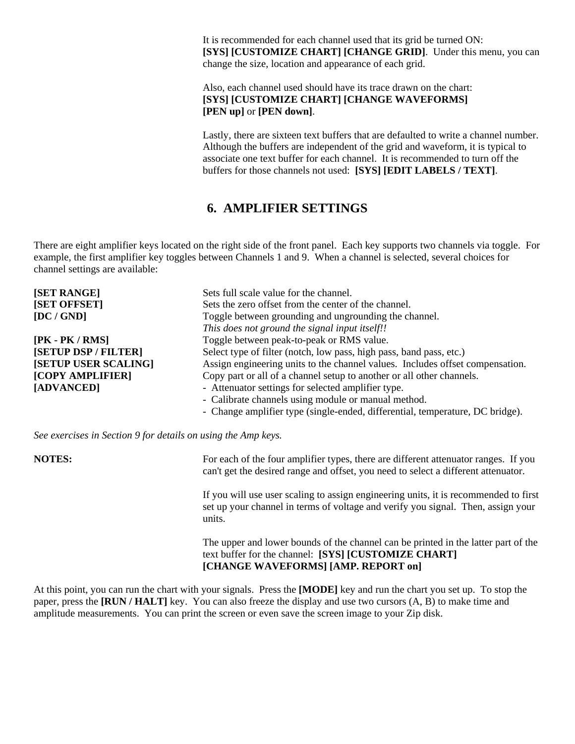It is recommended for each channel used that its grid be turned ON: **[SYS] [CUSTOMIZE CHART] [CHANGE GRID]**. Under this menu, you can change the size, location and appearance of each grid.

Also, each channel used should have its trace drawn on the chart: **[SYS] [CUSTOMIZE CHART] [CHANGE WAVEFORMS] [PEN up]** or **[PEN down]**.

Lastly, there are sixteen text buffers that are defaulted to write a channel number. Although the buffers are independent of the grid and waveform, it is typical to associate one text buffer for each channel. It is recommended to turn off the buffers for those channels not used: **[SYS] [EDIT LABELS / TEXT]**.

#### **6. AMPLIFIER SETTINGS**

There are eight amplifier keys located on the right side of the front panel. Each key supports two channels via toggle. For example, the first amplifier key toggles between Channels 1 and 9. When a channel is selected, several choices for channel settings are available:

| [SET RANGE]          | Sets full scale value for the channel.                                        |
|----------------------|-------------------------------------------------------------------------------|
| [SET OFFSET]         | Sets the zero offset from the center of the channel.                          |
| [DC/GND]             | Toggle between grounding and ungrounding the channel.                         |
|                      | This does not ground the signal input itself!!                                |
| $[PK - PK / RMS]$    | Toggle between peak-to-peak or RMS value.                                     |
| [SETUP DSP / FILTER] | Select type of filter (notch, low pass, high pass, band pass, etc.)           |
| [SETUP USER SCALING] | Assign engineering units to the channel values. Includes offset compensation. |
| [COPY AMPLIFIER]     | Copy part or all of a channel setup to another or all other channels.         |
| [ADVANCED]           | - Attenuator settings for selected amplifier type.                            |
|                      | - Calibrate channels using module or manual method.                           |
|                      | - Change amplifier type (single-ended, differential, temperature, DC bridge). |
|                      |                                                                               |

*See exercises in Section 9 for details on using the Amp keys.* 

**NOTES:** For each of the four amplifier types, there are different attenuator ranges. If you can't get the desired range and offset, you need to select a different attenuator.

> If you will use user scaling to assign engineering units, it is recommended to first set up your channel in terms of voltage and verify you signal. Then, assign your units.

> The upper and lower bounds of the channel can be printed in the latter part of the text buffer for the channel: **[SYS] [CUSTOMIZE CHART] [CHANGE WAVEFORMS] [AMP. REPORT on]**

At this point, you can run the chart with your signals. Press the **[MODE]** key and run the chart you set up. To stop the paper, press the **[RUN / HALT]** key. You can also freeze the display and use two cursors (A, B) to make time and amplitude measurements. You can print the screen or even save the screen image to your Zip disk.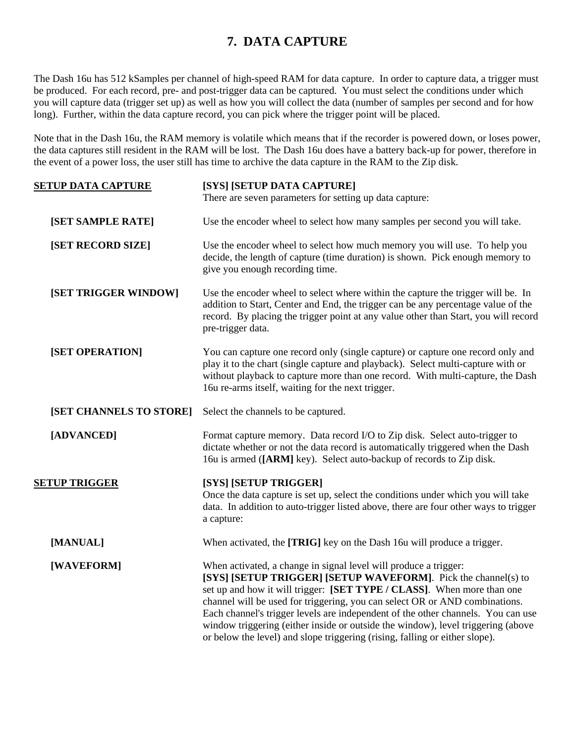#### **7. DATA CAPTURE**

The Dash 16u has 512 kSamples per channel of high-speed RAM for data capture. In order to capture data, a trigger must be produced. For each record, pre- and post-trigger data can be captured. You must select the conditions under which you will capture data (trigger set up) as well as how you will collect the data (number of samples per second and for how long). Further, within the data capture record, you can pick where the trigger point will be placed.

Note that in the Dash 16u, the RAM memory is volatile which means that if the recorder is powered down, or loses power, the data captures still resident in the RAM will be lost. The Dash 16u does have a battery back-up for power, therefore in the event of a power loss, the user still has time to archive the data capture in the RAM to the Zip disk.

| <b>SETUP DATA CAPTURE</b> | [SYS] [SETUP DATA CAPTURE]                                                                                                                                                                                                                                                                                                                                                                                                                                                                                                                         |
|---------------------------|----------------------------------------------------------------------------------------------------------------------------------------------------------------------------------------------------------------------------------------------------------------------------------------------------------------------------------------------------------------------------------------------------------------------------------------------------------------------------------------------------------------------------------------------------|
|                           | There are seven parameters for setting up data capture:                                                                                                                                                                                                                                                                                                                                                                                                                                                                                            |
| [SET SAMPLE RATE]         | Use the encoder wheel to select how many samples per second you will take.                                                                                                                                                                                                                                                                                                                                                                                                                                                                         |
| [SET RECORD SIZE]         | Use the encoder wheel to select how much memory you will use. To help you<br>decide, the length of capture (time duration) is shown. Pick enough memory to<br>give you enough recording time.                                                                                                                                                                                                                                                                                                                                                      |
| [SET TRIGGER WINDOW]      | Use the encoder wheel to select where within the capture the trigger will be. In<br>addition to Start, Center and End, the trigger can be any percentage value of the<br>record. By placing the trigger point at any value other than Start, you will record<br>pre-trigger data.                                                                                                                                                                                                                                                                  |
| [SET OPERATION]           | You can capture one record only (single capture) or capture one record only and<br>play it to the chart (single capture and playback). Select multi-capture with or<br>without playback to capture more than one record. With multi-capture, the Dash<br>16u re-arms itself, waiting for the next trigger.                                                                                                                                                                                                                                         |
| [SET CHANNELS TO STORE]   | Select the channels to be captured.                                                                                                                                                                                                                                                                                                                                                                                                                                                                                                                |
| [ADVANCED]                | Format capture memory. Data record I/O to Zip disk. Select auto-trigger to<br>dictate whether or not the data record is automatically triggered when the Dash<br>16u is armed ([ARM] key). Select auto-backup of records to Zip disk.                                                                                                                                                                                                                                                                                                              |
| <b>SETUP TRIGGER</b>      | [SYS] [SETUP TRIGGER]<br>Once the data capture is set up, select the conditions under which you will take<br>data. In addition to auto-trigger listed above, there are four other ways to trigger<br>a capture:                                                                                                                                                                                                                                                                                                                                    |
| [MANUAL]                  | When activated, the [TRIG] key on the Dash 16u will produce a trigger.                                                                                                                                                                                                                                                                                                                                                                                                                                                                             |
| [WAVEFORM]                | When activated, a change in signal level will produce a trigger:<br>[SYS] [SETUP TRIGGER] [SETUP WAVEFORM]. Pick the channel(s) to<br>set up and how it will trigger: [SET TYPE / CLASS]. When more than one<br>channel will be used for triggering, you can select OR or AND combinations.<br>Each channel's trigger levels are independent of the other channels. You can use<br>window triggering (either inside or outside the window), level triggering (above<br>or below the level) and slope triggering (rising, falling or either slope). |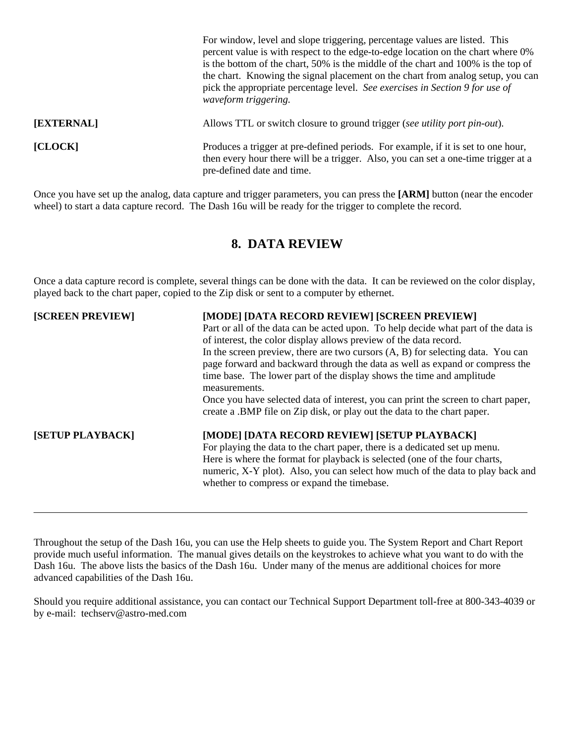|            | For window, level and slope triggering, percentage values are listed. This<br>percent value is with respect to the edge-to-edge location on the chart where 0%<br>is the bottom of the chart, 50% is the middle of the chart and 100% is the top of<br>the chart. Knowing the signal placement on the chart from analog setup, you can<br>pick the appropriate percentage level. See exercises in Section 9 for use of<br>waveform triggering. |
|------------|------------------------------------------------------------------------------------------------------------------------------------------------------------------------------------------------------------------------------------------------------------------------------------------------------------------------------------------------------------------------------------------------------------------------------------------------|
| [EXTERNAL] | Allows TTL or switch closure to ground trigger (see <i>utility port pin-out</i> ).                                                                                                                                                                                                                                                                                                                                                             |
| [CLOCK]    | Produces a trigger at pre-defined periods. For example, if it is set to one hour,<br>then every hour there will be a trigger. Also, you can set a one-time trigger at a<br>pre-defined date and time.                                                                                                                                                                                                                                          |

Once you have set up the analog, data capture and trigger parameters, you can press the **[ARM]** button (near the encoder wheel) to start a data capture record. The Dash 16u will be ready for the trigger to complete the record.

#### **8. DATA REVIEW**

Once a data capture record is complete, several things can be done with the data. It can be reviewed on the color display, played back to the chart paper, copied to the Zip disk or sent to a computer by ethernet.

| [SCREEN PREVIEW]        | [MODE] [DATA RECORD REVIEW] [SCREEN PREVIEW]                                       |
|-------------------------|------------------------------------------------------------------------------------|
|                         | Part or all of the data can be acted upon. To help decide what part of the data is |
|                         | of interest, the color display allows preview of the data record.                  |
|                         | In the screen preview, there are two cursors $(A, B)$ for selecting data. You can  |
|                         | page forward and backward through the data as well as expand or compress the       |
|                         | time base. The lower part of the display shows the time and amplitude              |
|                         | measurements.                                                                      |
|                         | Once you have selected data of interest, you can print the screen to chart paper,  |
|                         | create a .BMP file on Zip disk, or play out the data to the chart paper.           |
| <b>[SETUP PLAYBACK]</b> | [MODE] [DATA RECORD REVIEW] [SETUP PLAYBACK]                                       |
|                         | For playing the data to the chart paper, there is a dedicated set up menu.         |
|                         | Here is where the format for playback is selected (one of the four charts,         |
|                         | numeric, X-Y plot). Also, you can select how much of the data to play back and     |
|                         | whether to compress or expand the timebase.                                        |

Throughout the setup of the Dash 16u, you can use the Help sheets to guide you. The System Report and Chart Report provide much useful information. The manual gives details on the keystrokes to achieve what you want to do with the Dash 16u. The above lists the basics of the Dash 16u. Under many of the menus are additional choices for more advanced capabilities of the Dash 16u.

Should you require additional assistance, you can contact our Technical Support Department toll-free at 800-343-4039 or by e-mail: techserv@astro-med.com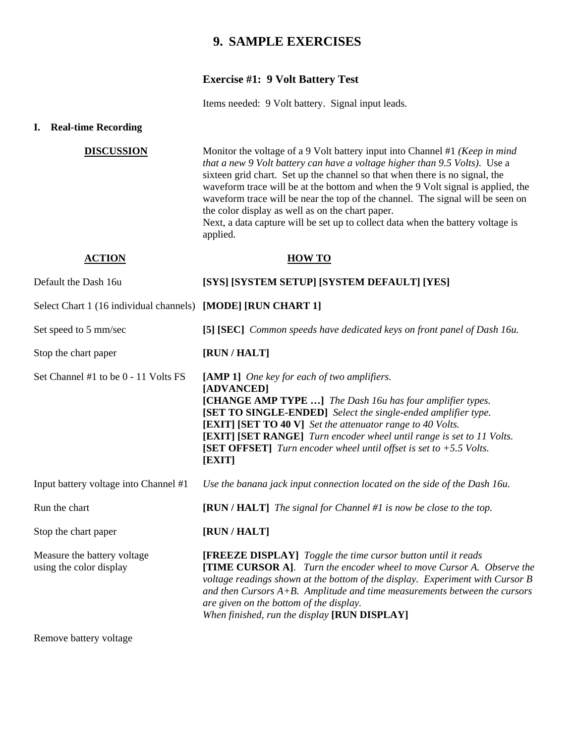#### **9. SAMPLE EXERCISES**

#### **Exercise #1: 9 Volt Battery Test**

Items needed: 9 Volt battery. Signal input leads.

#### **I. Real-time Recording**

| <b>DISCUSSION</b>                                            | Monitor the voltage of a 9 Volt battery input into Channel #1 (Keep in mind<br>that a new 9 Volt battery can have a voltage higher than 9.5 Volts). Use a<br>sixteen grid chart. Set up the channel so that when there is no signal, the<br>waveform trace will be at the bottom and when the 9 Volt signal is applied, the<br>waveform trace will be near the top of the channel. The signal will be seen on<br>the color display as well as on the chart paper.<br>Next, a data capture will be set up to collect data when the battery voltage is<br>applied. |
|--------------------------------------------------------------|------------------------------------------------------------------------------------------------------------------------------------------------------------------------------------------------------------------------------------------------------------------------------------------------------------------------------------------------------------------------------------------------------------------------------------------------------------------------------------------------------------------------------------------------------------------|
| <b>ACTION</b>                                                | <b>HOW TO</b>                                                                                                                                                                                                                                                                                                                                                                                                                                                                                                                                                    |
| Default the Dash 16u                                         | [SYS] [SYSTEM SETUP] [SYSTEM DEFAULT] [YES]                                                                                                                                                                                                                                                                                                                                                                                                                                                                                                                      |
| Select Chart 1 (16 individual channels) [MODE] [RUN CHART 1] |                                                                                                                                                                                                                                                                                                                                                                                                                                                                                                                                                                  |
| Set speed to 5 mm/sec                                        | [5] [SEC] Common speeds have dedicated keys on front panel of Dash 16u.                                                                                                                                                                                                                                                                                                                                                                                                                                                                                          |
| Stop the chart paper                                         | [RUN / HALT]                                                                                                                                                                                                                                                                                                                                                                                                                                                                                                                                                     |
| Set Channel #1 to be 0 - 11 Volts FS                         | [AMP 1] One key for each of two amplifiers.<br>[ADVANCED]<br>[CHANGE AMP TYPE ] The Dash 16u has four amplifier types.<br>[SET TO SINGLE-ENDED] Select the single-ended amplifier type.<br><b>[EXIT]</b> [SET TO 40 V] Set the attenuator range to 40 Volts.<br><b>[EXIT]</b> [SET RANGE] Turn encoder wheel until range is set to 11 Volts.<br>[SET OFFSET] Turn encoder wheel until offset is set to $+5.5$ Volts.<br>[EXIT]                                                                                                                                   |
| Input battery voltage into Channel #1                        | Use the banana jack input connection located on the side of the Dash 16u.                                                                                                                                                                                                                                                                                                                                                                                                                                                                                        |
| Run the chart                                                | $[RUN / HALT]$ The signal for Channel #1 is now be close to the top.                                                                                                                                                                                                                                                                                                                                                                                                                                                                                             |
| Stop the chart paper                                         | [RUN / HALT]                                                                                                                                                                                                                                                                                                                                                                                                                                                                                                                                                     |
| Measure the battery voltage<br>using the color display       | [FREEZE DISPLAY] Toggle the time cursor button until it reads<br>[TIME CURSOR A]. Turn the encoder wheel to move Cursor A. Observe the<br>voltage readings shown at the bottom of the display. Experiment with Cursor B<br>and then Cursors $A+B$ . Amplitude and time measurements between the cursors<br>are given on the bottom of the display.<br>When finished, run the display [RUN DISPLAY]                                                                                                                                                               |

Remove battery voltage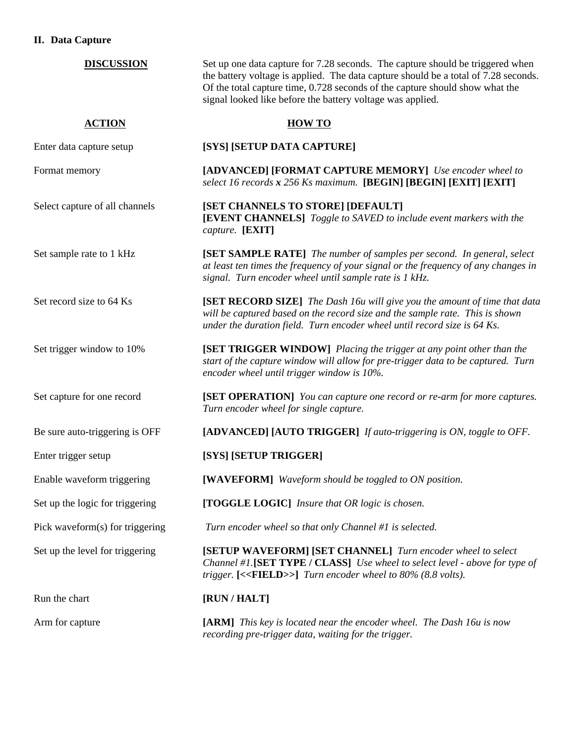#### **II. Data Capture**

| <b>DISCUSSION</b>               | Set up one data capture for 7.28 seconds. The capture should be triggered when<br>the battery voltage is applied. The data capture should be a total of 7.28 seconds.<br>Of the total capture time, 0.728 seconds of the capture should show what the<br>signal looked like before the battery voltage was applied. |
|---------------------------------|---------------------------------------------------------------------------------------------------------------------------------------------------------------------------------------------------------------------------------------------------------------------------------------------------------------------|
| <b>ACTION</b>                   | <b>HOW TO</b>                                                                                                                                                                                                                                                                                                       |
| Enter data capture setup        | [SYS] [SETUP DATA CAPTURE]                                                                                                                                                                                                                                                                                          |
| Format memory                   | [ADVANCED] [FORMAT CAPTURE MEMORY] Use encoder wheel to<br>select 16 records x 256 Ks maximum. [BEGIN] [BEGIN] [EXIT] [EXIT]                                                                                                                                                                                        |
| Select capture of all channels  | [SET CHANNELS TO STORE] [DEFAULT]<br>[EVENT CHANNELS] Toggle to SAVED to include event markers with the<br>capture. [EXIT]                                                                                                                                                                                          |
| Set sample rate to 1 kHz        | [SET SAMPLE RATE] The number of samples per second. In general, select<br>at least ten times the frequency of your signal or the frequency of any changes in<br>signal. Turn encoder wheel until sample rate is 1 kHz.                                                                                              |
| Set record size to 64 Ks        | [SET RECORD SIZE] The Dash 16u will give you the amount of time that data<br>will be captured based on the record size and the sample rate. This is shown<br>under the duration field. Turn encoder wheel until record size is 64 Ks.                                                                               |
| Set trigger window to 10%       | [SET TRIGGER WINDOW] Placing the trigger at any point other than the<br>start of the capture window will allow for pre-trigger data to be captured. Turn<br>encoder wheel until trigger window is 10%.                                                                                                              |
| Set capture for one record      | [SET OPERATION] You can capture one record or re-arm for more captures.<br>Turn encoder wheel for single capture.                                                                                                                                                                                                   |
| Be sure auto-triggering is OFF  | [ADVANCED] [AUTO TRIGGER] If auto-triggering is ON, toggle to OFF.                                                                                                                                                                                                                                                  |
| Enter trigger setup             | [SYS] [SETUP TRIGGER]                                                                                                                                                                                                                                                                                               |
| Enable waveform triggering      | [WAVEFORM] Waveform should be toggled to ON position.                                                                                                                                                                                                                                                               |
| Set up the logic for triggering | [TOGGLE LOGIC] Insure that OR logic is chosen.                                                                                                                                                                                                                                                                      |
| Pick waveform(s) for triggering | Turn encoder wheel so that only Channel #1 is selected.                                                                                                                                                                                                                                                             |
| Set up the level for triggering | [SETUP WAVEFORM] [SET CHANNEL] Turn encoder wheel to select<br>Channel #1.[SET TYPE / CLASS] Use wheel to select level - above for type of<br>trigger. $[FIELD>]$ Turn encoder wheel to $80\%$ (8.8 volts).                                                                                                         |
| Run the chart                   | [RUN / HALT]                                                                                                                                                                                                                                                                                                        |
| Arm for capture                 | <b>[ARM]</b> This key is located near the encoder wheel. The Dash 16u is now<br>recording pre-trigger data, waiting for the trigger.                                                                                                                                                                                |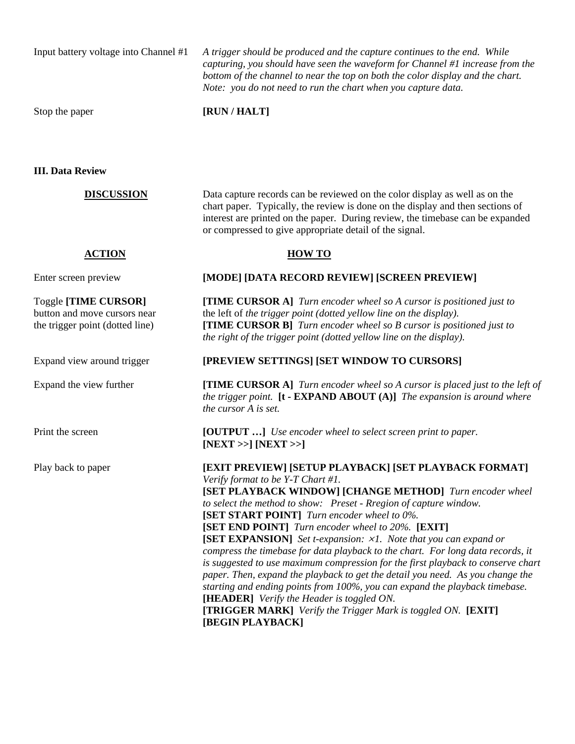Input battery voltage into Channel #1 *A trigger should be produced and the capture continues to the end. While capturing, you should have seen the waveform for Channel #1 increase from the bottom of the channel to near the top on both the color display and the chart. Note: you do not need to run the chart when you capture data.* 

Stop the paper **[RUN / HALT]** 

**III. Data Review** 

**DISCUSSION** Data capture records can be reviewed on the color display as well as on the chart paper. Typically, the review is done on the display and then sections of interest are printed on the paper. During review, the timebase can be expanded or compressed to give appropriate detail of the signal.

#### **ACTION HOW TO**

#### Enter screen preview **[MODE] [DATA RECORD REVIEW] [SCREEN PREVIEW]**

Toggle **[TIME CURSOR] [TIME CURSOR A]** *Turn encoder wheel so A cursor is positioned just to*  button and move cursors near the left of *the trigger point (dotted yellow line on the display).*  the trigger point (dotted line)**[TIME CURSOR B]** *Turn encoder wheel so B cursor is positioned just to the right of the trigger point (dotted yellow line on the display).* 

#### Expand view around trigger **[PREVIEW SETTINGS] [SET WINDOW TO CURSORS]**

Expand the view further **[TIME CURSOR A]** *Turn encoder wheel so A cursor is placed just to the left of the trigger point.* **[t - EXPAND ABOUT (A)]** *The expansion is around where the cursor A is set.* 

Print the screen **[OUTPUT …]** *Use encoder wheel to select screen print to paper.*  **[NEXT >>] [NEXT >>]** 

Play back to paper **[EXIT PREVIEW] [SETUP PLAYBACK] [SET PLAYBACK FORMAT]** *Verify format to be Y-T Chart #1.*  **[SET PLAYBACK WINDOW] [CHANGE METHOD]** *Turn encoder wheel to select the method to show: Preset - Rregion of capture window.*  **[SET START POINT]** *Turn encoder wheel to 0%.*  **[SET END POINT]** *Turn encoder wheel to 20%.* **[EXIT] [SET EXPANSION]** *Set t-expansion:*  $\times$ *1. Note that you can expand or compress the timebase for data playback to the chart. For long data records, it is suggested to use maximum compression for the first playback to conserve chart paper. Then, expand the playback to get the detail you need. As you change the starting and ending points from 100%, you can expand the playback timebase.*  **[HEADER]** *Verify the Header is toggled ON.*  **[TRIGGER MARK]** *Verify the Trigger Mark is toggled ON.* **[EXIT] [BEGIN PLAYBACK]**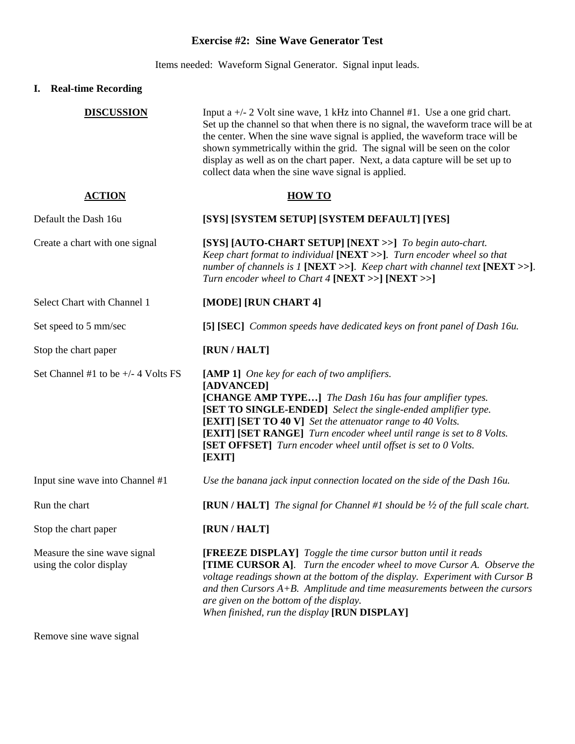#### **Exercise #2: Sine Wave Generator Test**

Items needed: Waveform Signal Generator. Signal input leads.

#### **I. Real-time Recording**

| <b>DISCUSSION</b>                                       | Input a $+/- 2$ Volt sine wave, 1 kHz into Channel #1. Use a one grid chart.<br>Set up the channel so that when there is no signal, the waveform trace will be at<br>the center. When the sine wave signal is applied, the waveform trace will be<br>shown symmetrically within the grid. The signal will be seen on the color<br>display as well as on the chart paper. Next, a data capture will be set up to<br>collect data when the sine wave signal is applied. |
|---------------------------------------------------------|-----------------------------------------------------------------------------------------------------------------------------------------------------------------------------------------------------------------------------------------------------------------------------------------------------------------------------------------------------------------------------------------------------------------------------------------------------------------------|
| <b>ACTION</b>                                           | <b>HOW TO</b>                                                                                                                                                                                                                                                                                                                                                                                                                                                         |
| Default the Dash 16u                                    | [SYS] [SYSTEM SETUP] [SYSTEM DEFAULT] [YES]                                                                                                                                                                                                                                                                                                                                                                                                                           |
| Create a chart with one signal                          | [SYS] [AUTO-CHART SETUP] [NEXT >>] To begin auto-chart.<br>Keep chart format to individual [NEXT >>]. Turn encoder wheel so that<br>number of channels is 1 [NEXT >>]. Keep chart with channel text [NEXT >>].<br>Turn encoder wheel to Chart 4 [NEXT >>] [NEXT >>]                                                                                                                                                                                                   |
| Select Chart with Channel 1                             | [MODE] [RUN CHART 4]                                                                                                                                                                                                                                                                                                                                                                                                                                                  |
| Set speed to 5 mm/sec                                   | [5] [SEC] Common speeds have dedicated keys on front panel of Dash 16u.                                                                                                                                                                                                                                                                                                                                                                                               |
| Stop the chart paper                                    | [RUN / HALT]                                                                                                                                                                                                                                                                                                                                                                                                                                                          |
| Set Channel #1 to be $+/- 4$ Volts FS                   | [AMP 1] One key for each of two amplifiers.<br>[ADVANCED]<br>[CHANGE AMP TYPE] The Dash 16u has four amplifier types.<br>[SET TO SINGLE-ENDED] Select the single-ended amplifier type.<br><b>[EXIT]</b> [SET TO 40 V] Set the attenuator range to 40 Volts.<br>[EXIT] [SET RANGE] Turn encoder wheel until range is set to 8 Volts.<br>[SET OFFSET] Turn encoder wheel until offset is set to 0 Volts.<br>[EXIT]                                                      |
| Input sine wave into Channel #1                         | Use the banana jack input connection located on the side of the Dash 16u.                                                                                                                                                                                                                                                                                                                                                                                             |
| Run the chart                                           | [RUN / HALT] The signal for Channel #1 should be $\frac{1}{2}$ of the full scale chart.                                                                                                                                                                                                                                                                                                                                                                               |
| Stop the chart paper                                    | [RUN / HALT]                                                                                                                                                                                                                                                                                                                                                                                                                                                          |
| Measure the sine wave signal<br>using the color display | <b>[FREEZE DISPLAY]</b> Toggle the time cursor button until it reads<br><b>[TIME CURSOR A].</b> Turn the encoder wheel to move Cursor A. Observe the<br>voltage readings shown at the bottom of the display. Experiment with Cursor B<br>and then Cursors $A+B$ . Amplitude and time measurements between the cursors<br>are given on the bottom of the display.<br>When finished, run the display [RUN DISPLAY]                                                      |

Remove sine wave signal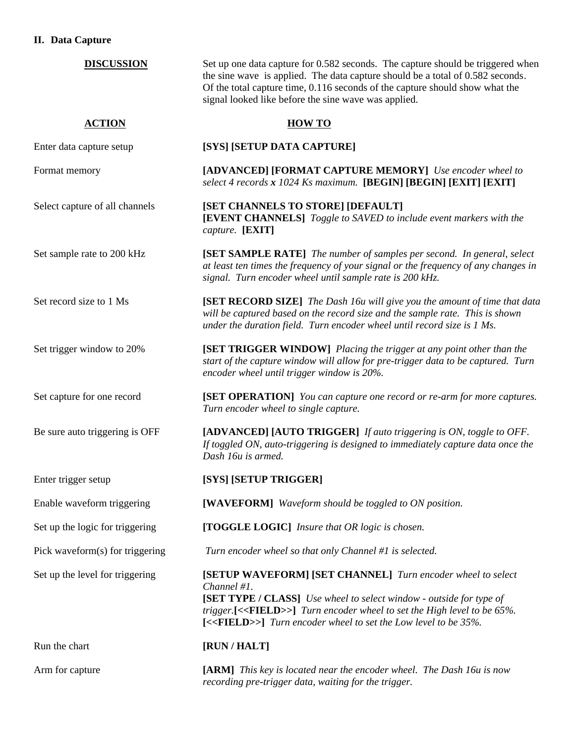#### **II. Data Capture**

| <b>DISCUSSION</b>               | Set up one data capture for 0.582 seconds. The capture should be triggered when<br>the sine wave is applied. The data capture should be a total of 0.582 seconds.<br>Of the total capture time, 0.116 seconds of the capture should show what the<br>signal looked like before the sine wave was applied.                           |
|---------------------------------|-------------------------------------------------------------------------------------------------------------------------------------------------------------------------------------------------------------------------------------------------------------------------------------------------------------------------------------|
| <b>ACTION</b>                   | <b>HOW TO</b>                                                                                                                                                                                                                                                                                                                       |
| Enter data capture setup        | [SYS] [SETUP DATA CAPTURE]                                                                                                                                                                                                                                                                                                          |
| Format memory                   | [ADVANCED] [FORMAT CAPTURE MEMORY] Use encoder wheel to<br>select 4 records x 1024 Ks maximum. [BEGIN] [BEGIN] [EXIT] [EXIT]                                                                                                                                                                                                        |
| Select capture of all channels  | [SET CHANNELS TO STORE] [DEFAULT]<br>[EVENT CHANNELS] Toggle to SAVED to include event markers with the<br>capture. [EXIT]                                                                                                                                                                                                          |
| Set sample rate to 200 kHz      | [SET SAMPLE RATE] The number of samples per second. In general, select<br>at least ten times the frequency of your signal or the frequency of any changes in<br>signal. Turn encoder wheel until sample rate is 200 kHz.                                                                                                            |
| Set record size to 1 Ms         | [SET RECORD SIZE] The Dash 16u will give you the amount of time that data<br>will be captured based on the record size and the sample rate. This is shown<br>under the duration field. Turn encoder wheel until record size is 1 Ms.                                                                                                |
| Set trigger window to 20%       | [SET TRIGGER WINDOW] Placing the trigger at any point other than the<br>start of the capture window will allow for pre-trigger data to be captured. Turn<br>encoder wheel until trigger window is 20%.                                                                                                                              |
| Set capture for one record      | [SET OPERATION] You can capture one record or re-arm for more captures.<br>Turn encoder wheel to single capture.                                                                                                                                                                                                                    |
| Be sure auto triggering is OFF  | [ADVANCED] [AUTO TRIGGER] If auto triggering is ON, toggle to OFF.<br>If toggled ON, auto-triggering is designed to immediately capture data once the<br>Dash 16u is armed.                                                                                                                                                         |
| Enter trigger setup             | [SYS] [SETUP TRIGGER]                                                                                                                                                                                                                                                                                                               |
| Enable waveform triggering      | [WAVEFORM] Waveform should be toggled to ON position.                                                                                                                                                                                                                                                                               |
| Set up the logic for triggering | [TOGGLE LOGIC] Insure that OR logic is chosen.                                                                                                                                                                                                                                                                                      |
| Pick waveform(s) for triggering | Turn encoder wheel so that only Channel #1 is selected.                                                                                                                                                                                                                                                                             |
| Set up the level for triggering | [SETUP WAVEFORM] [SET CHANNEL] Turn encoder wheel to select<br>Channel #1.<br><b>[SET TYPE / CLASS]</b> Use wheel to select window - outside for type of<br>trigger.[<< <b>FIELD&gt;&gt;</b> ] Turn encoder wheel to set the High level to be 65%.<br>[<< <b>FIELD&gt;&gt;</b> ] Turn encoder wheel to set the Low level to be 35%. |
| Run the chart                   | [RUN / HALT]                                                                                                                                                                                                                                                                                                                        |
| Arm for capture                 | <b>[ARM]</b> This key is located near the encoder wheel. The Dash 16u is now<br>recording pre-trigger data, waiting for the trigger.                                                                                                                                                                                                |